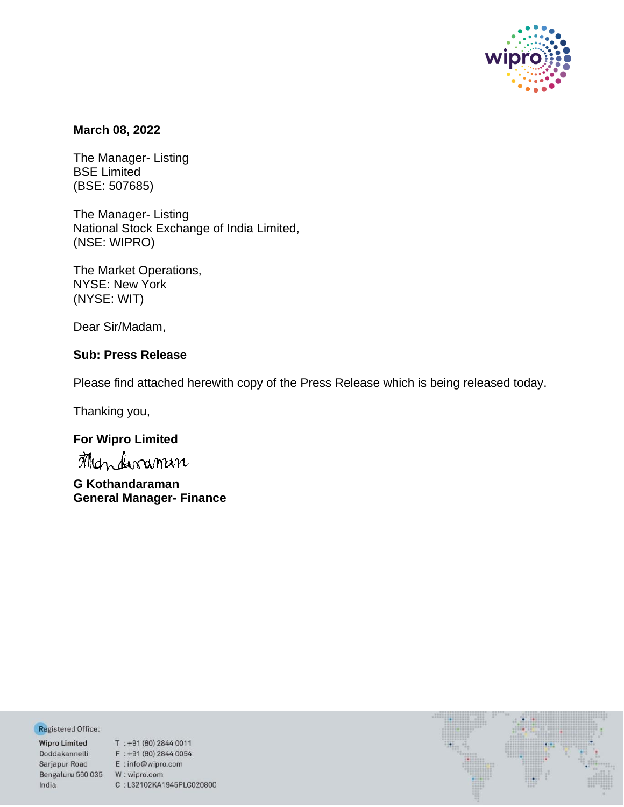

## **March 08, 2022**

The Manager- Listing BSE Limited (BSE: 507685)

The Manager- Listing National Stock Exchange of India Limited, (NSE: WIPRO)

The Market Operations, NYSE: New York (NYSE: WIT)

Dear Sir/Madam,

## **Sub: Press Release**

Please find attached herewith copy of the Press Release which is being released today.

Thanking you,

# **For Wipro Limited**

**G Kothandaraman General Manager- Finance**

Registered Office:

Bengaluru 560 035 W: wipro.com India

**Negistered Office:**<br> **Wipro Limited** T : +91 (80) 2844 0011<br>
Doddakannelli F : +91 (80) 2844 0054<br>
Sarjapur Road E : info@wipro.com C:L32102KA1945PLC020800

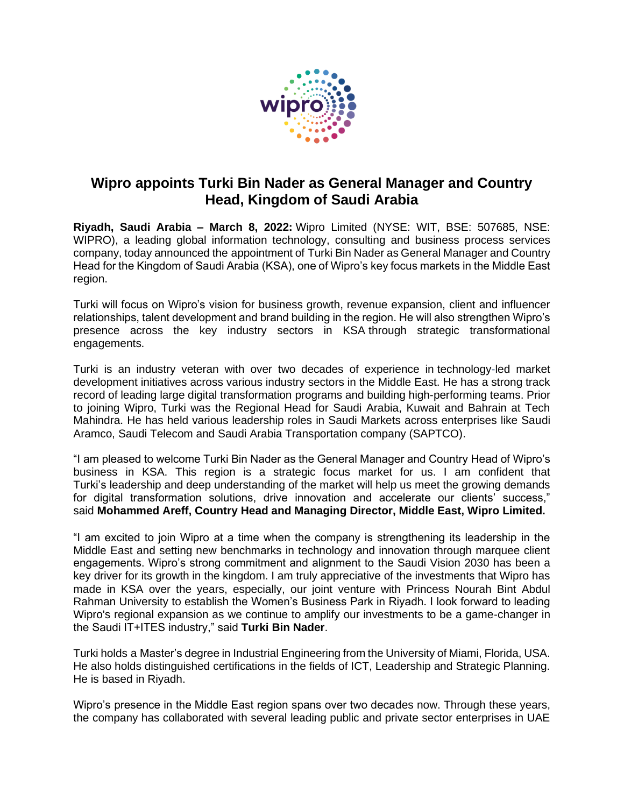

# **Wipro appoints Turki Bin Nader as General Manager and Country Head, Kingdom of Saudi Arabia**

**Riyadh, Saudi Arabia – March 8, 2022:** Wipro Limited (NYSE: WIT, BSE: 507685, NSE: WIPRO), a leading global information technology, consulting and business process services company, today announced the appointment of Turki Bin Nader as General Manager and Country Head for the Kingdom of Saudi Arabia (KSA), one of Wipro's key focus markets in the Middle East region.

Turki will focus on Wipro's vision for business growth, revenue expansion, client and influencer relationships, talent development and brand building in the region. He will also strengthen Wipro's presence across the key industry sectors in KSA through strategic transformational engagements.

Turki is an industry veteran with over two decades of experience in technology-led market development initiatives across various industry sectors in the Middle East. He has a strong track record of leading large digital transformation programs and building high-performing teams. Prior to joining Wipro, Turki was the Regional Head for Saudi Arabia, Kuwait and Bahrain at Tech Mahindra. He has held various leadership roles in Saudi Markets across enterprises like Saudi Aramco, Saudi Telecom and Saudi Arabia Transportation company (SAPTCO).

"I am pleased to welcome Turki Bin Nader as the General Manager and Country Head of Wipro's business in KSA. This region is a strategic focus market for us. I am confident that Turki's leadership and deep understanding of the market will help us meet the growing demands for digital transformation solutions, drive innovation and accelerate our clients' success," said **Mohammed Areff, Country Head and Managing Director, Middle East, Wipro Limited.**

"I am excited to join Wipro at a time when the company is strengthening its leadership in the Middle East and setting new benchmarks in technology and innovation through marquee client engagements. Wipro's strong commitment and alignment to the Saudi Vision 2030 has been a key driver for its growth in the kingdom. I am truly appreciative of the investments that Wipro has made in KSA over the years, especially, our joint venture with Princess Nourah Bint Abdul Rahman University to establish the Women's Business Park in Riyadh. I look forward to leading Wipro's regional expansion as we continue to amplify our investments to be a game-changer in the Saudi IT+ITES industry," said **Turki Bin Nader**.

Turki holds a Master's degree in Industrial Engineering from the University of Miami, Florida, USA. He also holds distinguished certifications in the fields of ICT, Leadership and Strategic Planning. He is based in Riyadh.

Wipro's presence in the Middle East region spans over two decades now. Through these years, the company has collaborated with several leading public and private sector enterprises in UAE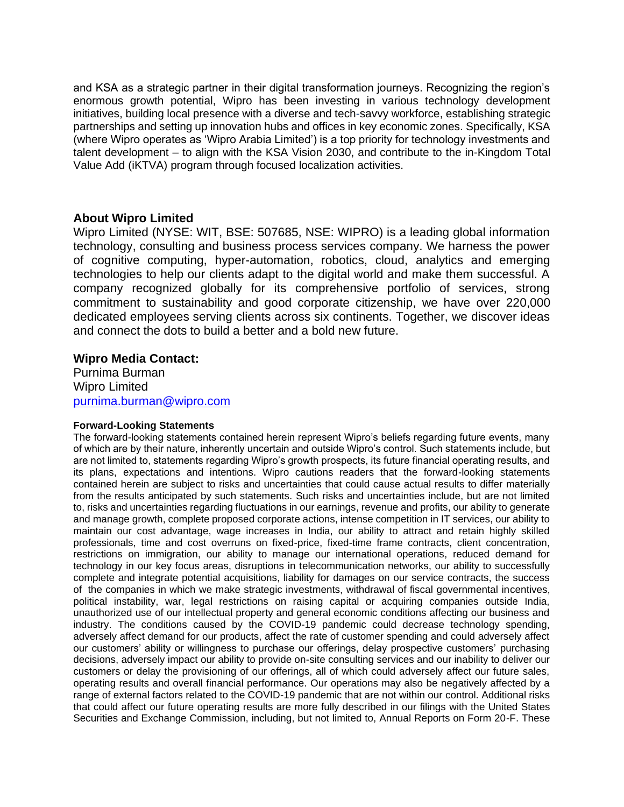and KSA as a strategic partner in their digital transformation journeys. Recognizing the region's enormous growth potential, Wipro has been investing in various technology development initiatives, building local presence with a diverse and tech-savvy workforce, establishing strategic partnerships and setting up innovation hubs and offices in key economic zones. Specifically, KSA (where Wipro operates as 'Wipro Arabia Limited') is a top priority for technology investments and talent development – to align with the KSA Vision 2030, and contribute to the in-Kingdom Total Value Add (iKTVA) program through focused localization activities.

## **About Wipro Limited**

Wipro Limited (NYSE: WIT, BSE: 507685, NSE: WIPRO) is a leading global information technology, consulting and business process services company. We harness the power of cognitive computing, hyper-automation, robotics, cloud, analytics and emerging technologies to help our clients adapt to the digital world and make them successful. A company recognized globally for its comprehensive portfolio of services, strong commitment to sustainability and good corporate citizenship, we have over 220,000 dedicated employees serving clients across six continents. Together, we discover ideas and connect the dots to build a better and a bold new future.

## **Wipro Media Contact:**

Purnima Burman Wipro Limited [purnima.burman@wipro.com](mailto:purnima.burman@wipro.com)

#### **Forward-Looking Statements**

The forward-looking statements contained herein represent Wipro's beliefs regarding future events, many of which are by their nature, inherently uncertain and outside Wipro's control. Such statements include, but are not limited to, statements regarding Wipro's growth prospects, its future financial operating results, and its plans, expectations and intentions. Wipro cautions readers that the forward-looking statements contained herein are subject to risks and uncertainties that could cause actual results to differ materially from the results anticipated by such statements. Such risks and uncertainties include, but are not limited to, risks and uncertainties regarding fluctuations in our earnings, revenue and profits, our ability to generate and manage growth, complete proposed corporate actions, intense competition in IT services, our ability to maintain our cost advantage, wage increases in India, our ability to attract and retain highly skilled professionals, time and cost overruns on fixed-price, fixed-time frame contracts, client concentration, restrictions on immigration, our ability to manage our international operations, reduced demand for technology in our key focus areas, disruptions in telecommunication networks, our ability to successfully complete and integrate potential acquisitions, liability for damages on our service contracts, the success of the companies in which we make strategic investments, withdrawal of fiscal governmental incentives, political instability, war, legal restrictions on raising capital or acquiring companies outside India, unauthorized use of our intellectual property and general economic conditions affecting our business and industry. The conditions caused by the COVID-19 pandemic could decrease technology spending, adversely affect demand for our products, affect the rate of customer spending and could adversely affect our customers' ability or willingness to purchase our offerings, delay prospective customers' purchasing decisions, adversely impact our ability to provide on-site consulting services and our inability to deliver our customers or delay the provisioning of our offerings, all of which could adversely affect our future sales, operating results and overall financial performance. Our operations may also be negatively affected by a range of external factors related to the COVID-19 pandemic that are not within our control. Additional risks that could affect our future operating results are more fully described in our filings with the United States Securities and Exchange Commission, including, but not limited to, Annual Reports on Form 20-F. These